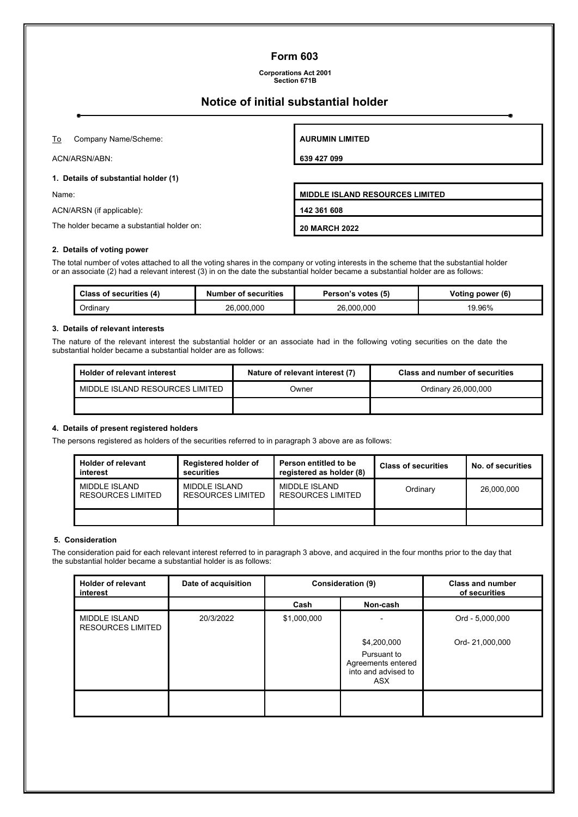## **Form 603**

**Corporations Act 2001 Section 671B**

# **Notice of initial substantial holder**

To Company Name/Scheme:

ACN/ARSN/ABN:

#### **1. Details of substantial holder (1)**

ACN/ARSN (if applicable): **142 361 608**

The holder became a substantial holder on: **20 MARCH 2022**

### **2. Details of voting power**

The total number of votes attached to all the voting shares in the company or voting interests in the scheme that the substantial holder or an associate (2) had a relevant interest (3) in on the date the substantial holder became a substantial holder are as follows:

| <b>Class of securities (4)</b> | <b>Number of securities</b> | Person's votes (5) | Voting power (6) |
|--------------------------------|-----------------------------|--------------------|------------------|
| Ordinarv                       | 26,000,000                  | 26,000,000         | 19.96%           |

#### **3. Details of relevant interests**

The nature of the relevant interest the substantial holder or an associate had in the following voting securities on the date the substantial holder became a substantial holder are as follows:

| <b>Holder of relevant interest</b> | Nature of relevant interest (7) | <b>Class and number of securities</b> |
|------------------------------------|---------------------------------|---------------------------------------|
| MIDDLE ISLAND RESOURCES LIMITED    | Owner                           | Ordinary 26,000,000                   |
|                                    |                                 |                                       |

#### **4. Details of present registered holders**

The persons registered as holders of the securities referred to in paragraph 3 above are as follows:

| <b>Holder of relevant</b><br>interest | <b>Registered holder of</b><br>securities | Person entitled to be<br>registered as holder (8) | <b>Class of securities</b> | No. of securities |
|---------------------------------------|-------------------------------------------|---------------------------------------------------|----------------------------|-------------------|
| MIDDLE ISLAND<br>RESOURCES LIMITED    | MIDDI E ISI AND<br>RESOURCES LIMITED      | MIDDI E ISI AND<br><b>RESOURCES LIMITED</b>       | Ordinary                   | 26.000.000        |
|                                       |                                           |                                                   |                            |                   |

#### **5. Consideration**

The consideration paid for each relevant interest referred to in paragraph 3 above, and acquired in the four months prior to the day that the substantial holder became a substantial holder is as follows:

| <b>Holder of relevant</b><br>interest     | Date of acquisition | Consideration (9) |                                                                 | <b>Class and number</b><br>of securities |
|-------------------------------------------|---------------------|-------------------|-----------------------------------------------------------------|------------------------------------------|
|                                           |                     | Cash              | Non-cash                                                        |                                          |
| MIDDLE ISLAND<br><b>RESOURCES LIMITED</b> | 20/3/2022           | \$1,000,000       |                                                                 | Ord - 5,000,000                          |
|                                           |                     |                   | \$4,200,000                                                     | Ord- 21,000,000                          |
|                                           |                     |                   | Pursuant to<br>Agreements entered<br>into and advised to<br>ASX |                                          |
|                                           |                     |                   |                                                                 |                                          |

**AURUMIN LIMITED**

**639 427 099**

Name: **MIDDLE ISLAND RESOURCES LIMITED**